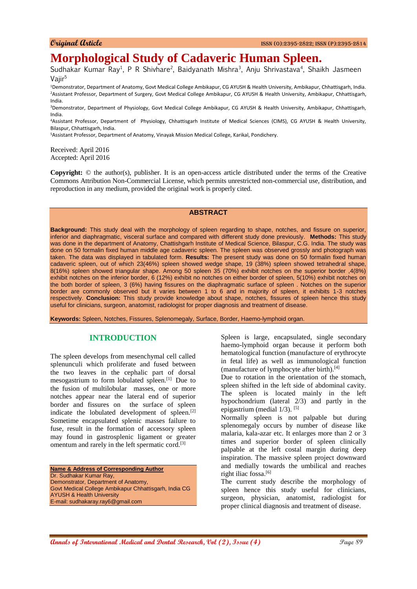# **Morphological Study of Cadaveric Human Spleen.**

Sudhakar Kumar Ray<sup>1</sup>, P R Shivhare<sup>2</sup>, Baidyanath Mishra<sup>3</sup>, Anju Shrivastava<sup>4</sup>, Shaikh Jasmeen Vajir<sup>5</sup>

<sup>1</sup>Demonstrator, Department of Anatomy, Govt Medical College Ambikapur, CG AYUSH & Health University, Ambikapur, Chhattisgarh, India. <sup>2</sup>Assistant Professor, Department of Surgery, Govt Medical College Ambikapur, CG AYUSH & Health University, Ambikapur, Chhattisgarh, India.

<sup>3</sup>Demonstrator, Department of Physiology, Govt Medical College Ambikapur, CG AYUSH & Health University, Ambikapur, Chhattisgarh, India.

<sup>4</sup>Assistant Professor, Department of Physiology, Chhattisgarh Institute of Medical Sciences (CIMS), CG AYUSH & Health University, Bilaspur, Chhattisgarh, India.

<sup>5</sup>Assistant Professor, Department of Anatomy, Vinayak Mission Medical College, Karikal, Pondichery.

Received: April 2016 Accepted: April 2016

**Copyright:** © the author(s), publisher. It is an open-access article distributed under the terms of the Creative Commons Attribution Non-Commercial License, which permits unrestricted non-commercial use, distribution, and reproduction in any medium, provided the original work is properly cited.

#### **ABSTRACT**

**Background:** This study deal with the morphology of spleen regarding to shape, notches, and fissure on superior, inferior and diaphragmatic, visceral surface and compared with different study done previously. **Methods:** This study was done in the department of Anatomy, Chattishgarh Institute of Medical Science, Bilaspur, C.G. India. The study was done on 50 formalin fixed human middle age cadaveric spleen. The spleen was observed grossly and photograph was taken. The data was displayed in tabulated form. **Results:** The present study was done on 50 formalin fixed human cadaveric spleen, out of which 23(46%) spleen showed wedge shape, 19 (38%) spleen showed tetrahedral shape, 8(16%) spleen showed triangular shape. Among 50 spleen 35 (70%) exhibit notches on the superior border ,4(8%) exhibit notches on the inferior border, 6 (12%) exhibit no notches on either border of spleen, 5(10%) exhibit notches on the both border of spleen, 3 (6%) having fissures on the diaphragmatic surface of spleen . Notches on the superior border are commonly observed but it varies between 1 to 6 and in majority of spleen, it exhibits 1-3 notches respectively. **Conclusion:** This study provide knowledge about shape, notches, fissures of spleen hence this study useful for clinicians, surgeon, anatomist, radiologist for proper diagnosis and treatment of disease.

**Keywords:** Spleen, Notches, Fissures, Splenomegaly, Surface, Border, Haemo-lymphoid organ.

#### **INTRODUCTION**

The spleen develops from mesenchymal cell called splenunculi which proliferate and fused between the two leaves in the cephalic part of dorsal mesogastrium to form lobulated spleen.[1] Due to the fusion of multilobular masses, one or more notches appear near the lateral end of superior border and fissures on the surface of spleen indicate the lobulated development of spleen.<sup>[2]</sup> Sometime encapsulated splenic masses failure to fuse, result in the formation of accessory spleen may found in gastrosplenic ligament or greater omentum and rarely in the left spermatic cord.[3]

**Name & Address of Corresponding Author** Dr. Sudhakar Kumar Ray, Demonstrator, Department of Anatomy, Govt Medical College Ambikapur Chhattisgarh, India CG AYUSH & Health University E-mail: sudhakaray.ray6@gmail.com

Spleen is large, encapsulated, single secondary haemo-lymphoid organ because it perform both hematological function (manufacture of erythrocyte in fetal life) as well as immunological function (manufacture of lymphocyte after birth).[4]

Due to rotation in the orientation of the stomach, spleen shifted in the left side of abdominal cavity. The spleen is located mainly in the left hypochondrium (lateral 2/3) and partly in the epigastrium (medial 1/3). [5]

Normally spleen is not palpable but during splenomegaly occurs by number of disease like malaria, kala-azar etc. It enlarges more than 2 or 3 times and superior border of spleen clinically palpable at the left costal margin during deep inspiration. The massive spleen project downward and medially towards the umbilical and reaches right iliac fossa.<sup>[6]</sup>

The current study describe the morphology of spleen hence this study useful for clinicians, surgeon, physician, anatomist, radiologist for proper clinical diagnosis and treatment of disease.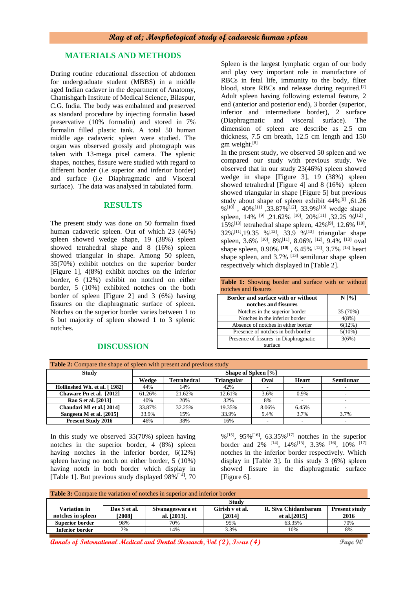# **MATERIALS AND METHODS**

During routine educational dissection of abdomen for undergraduate student (MBBS) in a middle aged Indian cadaver in the department of Anatomy, Chattishgarh Institute of Medical Science, Bilaspur, C.G. India. The body was embalmed and preserved as standard procedure by injecting formalin based preservative (10% formalin) and stored in 7% formalin filled plastic tank. A total 50 human middle age cadaveric spleen were studied. The organ was observed grossly and photograph was taken with 13-mega pixel camera. The splenic shapes, notches, fissure were studied with regard to different border (i.e superior and inferior border) and surface (i.e Diaphragmatic and Visceral surface). The data was analysed in tabulated form.

### **RESULTS**

The present study was done on 50 formalin fixed human cadaveric spleen. Out of which 23 (46%) spleen showed wedge shape, 19 (38%) spleen showed tetrahedral shape and 8 (16%) spleen showed triangular in shape. Among 50 spleen, 35(70%) exhibit notches on the superior border [Figure 1], 4(8%) exhibit notches on the inferior border, 6 (12%) exhibit no notched on either border, 5 (10%) exhibited notches on the both border of spleen [Figure 2] and 3 (6%) having fissures on the diaphragmatic surface of spleen. Notches on the superior border varies between 1 to 6 but majority of spleen showed 1 to 3 splenic notches.

Spleen is the largest lymphatic organ of our body and play very important role in manufacture of RBCs in fetal life, immunity to the body, filter blood, store RBCs and release during required.<sup>[7]</sup> Adult spleen having following external feature, 2 end (anterior and posterior end), 3 border (superior, inferior and intermediate border), 2 surface (Diaphragmatic and visceral surface). The dimension of spleen are describe as 2.5 cm thickness, 7.5 cm breath, 12.5 cm length and 150 gm weight.[8]

In the present study, we observed 50 spleen and we compared our study with previous study. We observed that in our study 23(46%) spleen showed wedge in shape [Figure 3], 19 (38%) spleen showed tetrahedral [Figure 4] and 8 (16%) spleen showed triangular in shape [Figure 5] but previous study about shape of spleen exhibit  $44\%^{[9]}$ , 61.26 %<sup>[10]</sup>, 40%<sup>[11]</sup>, 33.87%<sup>[12]</sup>, 33.9%<sup>[13]</sup> wedge shape spleen,  $14\%$  <sup>[9]</sup>,  $21.62\%$  <sup>[10]</sup>,  $20\%$ <sup>[11]</sup>,  $32.25\%$ <sup>[12]</sup>, 15%<sup>[13]</sup> tetrahedral shape spleen,  $42\%$ <sup>[9]</sup>, 12.6%<sup>[10]</sup>, 32%[11],19.35 %[12], 33.9 %[13] triangular shape spleen, 3.6% <sup>[10]</sup>, 8%<sup>[11]</sup>, 8.06% <sup>[12]</sup>, 9.4% <sup>[13]</sup> oval shape spleen, 0.90% **[10]** , 6.45% [12], 3.7% [13] heart shape spleen, and  $3.7\%$  <sup>[13]</sup> semilunar shape spleen respectively which displayed in [Table 2].

Table 1: Showing border and surface with or without notches and fissures **Border and surface with or without notches and fissures N [%]** Notches in the superior border 1 35 (70%) Notches in the inferior border  $4(8\%)$ 

| Notches in the superior border        | 35 (70%)  |
|---------------------------------------|-----------|
| Notches in the inferior border        | $4(8\%)$  |
| Absence of notches in either border   | 6(12%)    |
| Presence of notches in both border    | $5(10\%)$ |
| Presence of fissures in Diaphragmatic | 3(6%)     |
| surface                               |           |

| <b>Table 2:</b> Compare the shape of spleen with present and previous study |                     |                    |                   |       |       |                          |  |  |
|-----------------------------------------------------------------------------|---------------------|--------------------|-------------------|-------|-------|--------------------------|--|--|
| <b>Study</b>                                                                | Shape of Spleen [%] |                    |                   |       |       |                          |  |  |
|                                                                             | Wedge               | <b>Tetrahedral</b> | <b>Triangular</b> | Oval  | Heart | <b>Semilunar</b>         |  |  |
| Hollinshed Wh. et al. [1982]                                                | 44%                 | 14%                | 42%               |       |       |                          |  |  |
| Chaware Pn et al. [2012]                                                    | 61.26%              | 21.62%             | 12.61%            | 3.6%  | 0.9%  |                          |  |  |
| Rao S et al. [2013]                                                         | 40%                 | 20%                | 32%               | 8%    |       |                          |  |  |
| Chaudari MI et al.[2014]                                                    | 33.87%              | 32.25%             | 19.35%            | 8.06% | 6.45% | $\overline{\phantom{a}}$ |  |  |
| Sangeeta M et al. [2015]                                                    | 33.9%               | 15%                | 33.9%             | 9.4%  | 3.7%  | 3.7%                     |  |  |
| <b>Present Study 2016</b>                                                   | 46%                 | 38%                | 16%               |       |       |                          |  |  |

In this study we observed 35(70%) spleen having notches in the superior border, 4 (8%) spleen having notches in the inferior border, 6(12%) spleen having no notch on either border, 5 (10%) having notch in both border which display in [Table 1]. But previous study displayed 98%<sup>[14]</sup>, 70  $\%$ <sup>[15]</sup>, 95%<sup>[16]</sup>, 63.35%<sup>[17]</sup> notches in the superior border and  $2\%$  <sup>[14]</sup>, 14%<sup>[15]</sup>, 3.3% <sup>[16]</sup>, 10% <sup>[17]</sup> notches in the inferior border respectively. Which display in [Table 3]. In this study 3 (6%) spleen showed fissure in the diaphragmatic surface [Figure 6].

| <b>Table 3:</b> Compare the variation of notches in superior and inferior border |              |                  |                 |                     |                      |  |  |  |
|----------------------------------------------------------------------------------|--------------|------------------|-----------------|---------------------|----------------------|--|--|--|
|                                                                                  | <b>Study</b> |                  |                 |                     |                      |  |  |  |
| Variation in                                                                     | Das S et al. | Sivanageswara et | Girish v et al. | R. Siva Chidambaram | <b>Present study</b> |  |  |  |
| notches in spleen                                                                | [2008]       | al. [2013].      | [2014]          | et al. $[2015]$     | 2016                 |  |  |  |
| <b>Superior border</b>                                                           | 98%          | 70%              | 95%             | 63.35%              | 70%                  |  |  |  |
| <b>Inferior border</b>                                                           | 2%           | 14%              | 3.3%            | 10%                 | 8%                   |  |  |  |

**Annals of International Medical and Dental Research, Vol (2), Issue (4)** Page 90

## **DISCUSSION**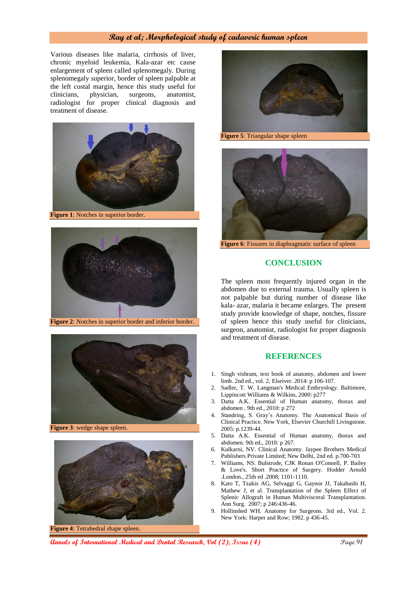# **Ray et al; Morphological study of cadaveric human spleen**

Various diseases like malaria, cirrhosis of liver, chronic myeloid leukemia, Kala-azar etc cause enlargement of spleen called splenomegaly. During splenomegaly superior, border of spleen palpable at the left costal margin, hence this study useful for clinicians, physician, surgeons, anatomist, radiologist for proper clinical diagnosis and treatment of disease.



**Figure 1**: Notches in superior border.



**Figure 2**: Notches in superior border and inferior border.







**Figure 5**: Triangular shape spleen



**Figure 6**: Fissures in diaphragmatic surface of spleen

#### **CONCLUSION**

The spleen most frequently injured organ in the abdomen due to external trauma. Usually spleen is not palpable but during number of disease like kala- azar, malaria it became enlarges. The present study provide knowledge of shape, notches, fissure of spleen hence this study useful for clinicians, surgeon, anatomist, radiologist for proper diagnosis and treatment of disease.

## **REFERENCES**

- 1. Singh vishram, text book of anatomy, abdomen and lower limb. 2nd ed., vol. 2, Elseiver. 2014: p 106-107.
- 2. Sadler, T. W. Langman's Medical Embryology. Baltimore, Lippincott Williams & Wilkins, 2000: p277
- 3. Datta A.K. Essential of Human anatomy, thorax and abdomen . 9th ed., 2010: p 272
- 4. Standring, S. Gray's Anatomy. The Anatomical Basis of Clinical Practice. New York, Elsevier Churchill Livingstone. 2005: p.1239-44.
- 5. Datta A.K. Essential of Human anatomy, thorax and abdomen. 9th ed., 2010: p 267.
- 6. Kulkarni, NV. Clinical Anatomy. Jaypee Brothers Medical Publishers Private Limited; New Delhi, 2nd ed. p.700-703
- 7. Williams, NS. Bulstrode, CJK Ronan O'Connell, P. Bailey & Love's. Short Practice of Surgery. Hodder Arnold .London., 25th ed .2008; 1101-1110.
- 8. Kato T, Tzakis AG, Selvaggi G, Gaynor JJ, Takahashi H, Mathew J, et al. Transplantation of the Spleen Effect of Splenic Allograft in Human Multivisceral Transplantation. Ann Surg. 2007; p 246:436-46.
- 9. Hollinshed WH. Anatomy for Surgeons. 3rd ed., Vol. 2. New York: Harper and Row; 1982. p 436-45.

**Annals of International Medical and Dental Research, Vol (2), Issue (4) Page 91**